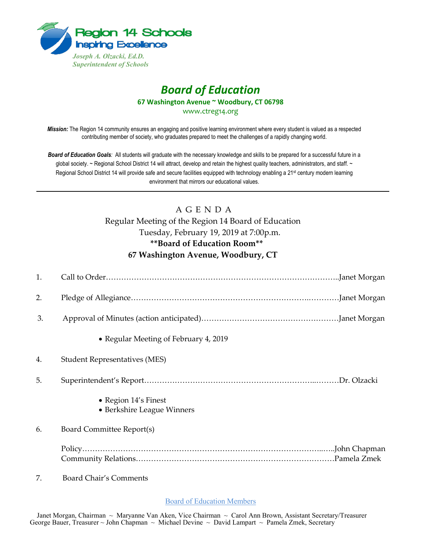

# *Board of Education* **67 Washington Avenue ~ Woodbury, CT 06798**

www.ctreg14.org

*Mission:* The Region 14 community ensures an engaging and positive learning environment where every student is valued as a respected contributing member of society, who graduates prepared to meet the challenges of a rapidly changing world.

*Board of Education Goals:* All students will graduate with the necessary knowledge and skills to be prepared for a successful future in a global society. ~ Regional School District 14 will attract, develop and retain the highest quality teachers, administrators, and staff. ~ Regional School District 14 will provide safe and secure facilities equipped with technology enabling a 21<sup>st</sup> century modern learning environment that mirrors our educational values.

## A G E N D A Regular Meeting of the Region 14 Board of Education Tuesday, February 19, 2019 at 7:00p.m. **\*\*Board of Education Room\*\* 67 Washington Avenue, Woodbury, CT**

| 1. |                                                    |  |
|----|----------------------------------------------------|--|
| 2. |                                                    |  |
| 3. |                                                    |  |
|    | • Regular Meeting of February 4, 2019              |  |
| 4. | <b>Student Representatives (MES)</b>               |  |
| 5. |                                                    |  |
|    | • Region 14's Finest<br>• Berkshire League Winners |  |
| 6. | Board Committee Report(s)                          |  |
|    |                                                    |  |
| 7. | <b>Board Chair's Comments</b>                      |  |

Board of Education Members